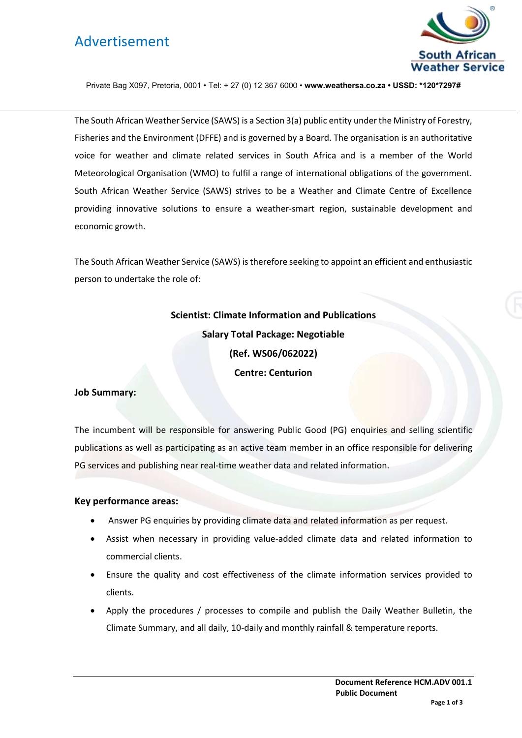# Advertisement



Private Bag X097, Pretoria, 0001 • Tel: + 27 (0) 12 367 6000 • **www.weathersa.co.za • USSD: \*120\*7297#**

The South African Weather Service (SAWS) is a Section 3(a) public entity under the Ministry of Forestry, Fisheries and the Environment (DFFE) and is governed by a Board. The organisation is an authoritative voice for weather and climate related services in South Africa and is a member of the World Meteorological Organisation (WMO) to fulfil a range of international obligations of the government. South African Weather Service (SAWS) strives to be a Weather and Climate Centre of Excellence providing innovative solutions to ensure a weather-smart region, sustainable development and economic growth.

The South African Weather Service (SAWS) is therefore seeking to appoint an efficient and enthusiastic person to undertake the role of:

# **Scientist: Climate Information and Publications Salary Total Package: Negotiable (Ref. WS06/062022) Centre: Centurion**

#### **Job Summary:**

The incumbent will be responsible for answering Public Good (PG) enquiries and selling scientific publications as well as participating as an active team member in an office responsible for delivering PG services and publishing near real-time weather data and related information.

#### **Key performance areas:**

- Answer PG enquiries by providing climate data and related information as per request.
- Assist when necessary in providing value-added climate data and related information to commercial clients.
- Ensure the quality and cost effectiveness of the climate information services provided to clients.
- Apply the procedures / processes to compile and publish the Daily Weather Bulletin, the Climate Summary, and all daily, 10-daily and monthly rainfall & temperature reports.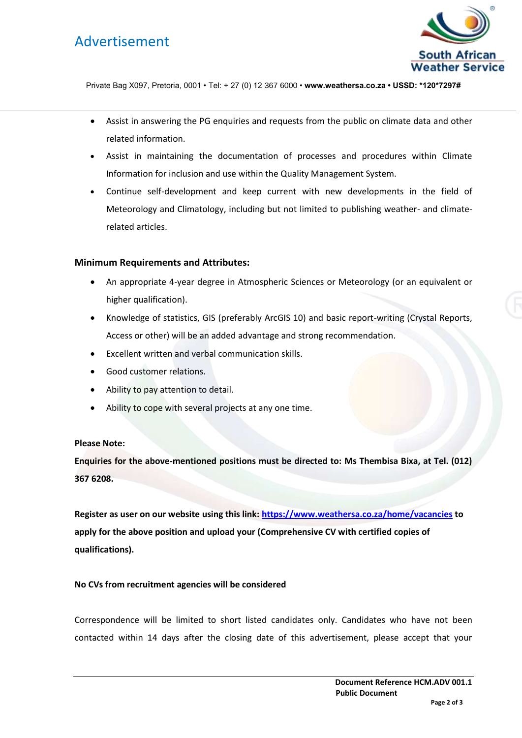## Advertisement



Private Bag X097, Pretoria, 0001 • Tel: + 27 (0) 12 367 6000 • **www.weathersa.co.za • USSD: \*120\*7297#**

- Assist in answering the PG enquiries and requests from the public on climate data and other related information.
- Assist in maintaining the documentation of processes and procedures within Climate Information for inclusion and use within the Quality Management System.
- Continue self-development and keep current with new developments in the field of Meteorology and Climatology, including but not limited to publishing weather- and climaterelated articles.

### **Minimum Requirements and Attributes:**

- An appropriate 4-year degree in Atmospheric Sciences or Meteorology (or an equivalent or higher qualification).
- Knowledge of statistics, GIS (preferably ArcGIS 10) and basic report-writing (Crystal Reports, Access or other) will be an added advantage and strong recommendation.
- Excellent written and verbal communication skills.
- Good customer relations.
- Ability to pay attention to detail.
- Ability to cope with several projects at any one time.

### **Please Note:**

**Enquiries for the above-mentioned positions must be directed to: Ms Thembisa Bixa, at Tel. (012) 367 6208.** 

**Register as user on our website using this link:<https://www.weathersa.co.za/home/vacancies> to apply for the above position and upload your (Comprehensive CV with certified copies of qualifications).** 

### **No CVs from recruitment agencies will be considered**

Correspondence will be limited to short listed candidates only. Candidates who have not been contacted within 14 days after the closing date of this advertisement, please accept that your